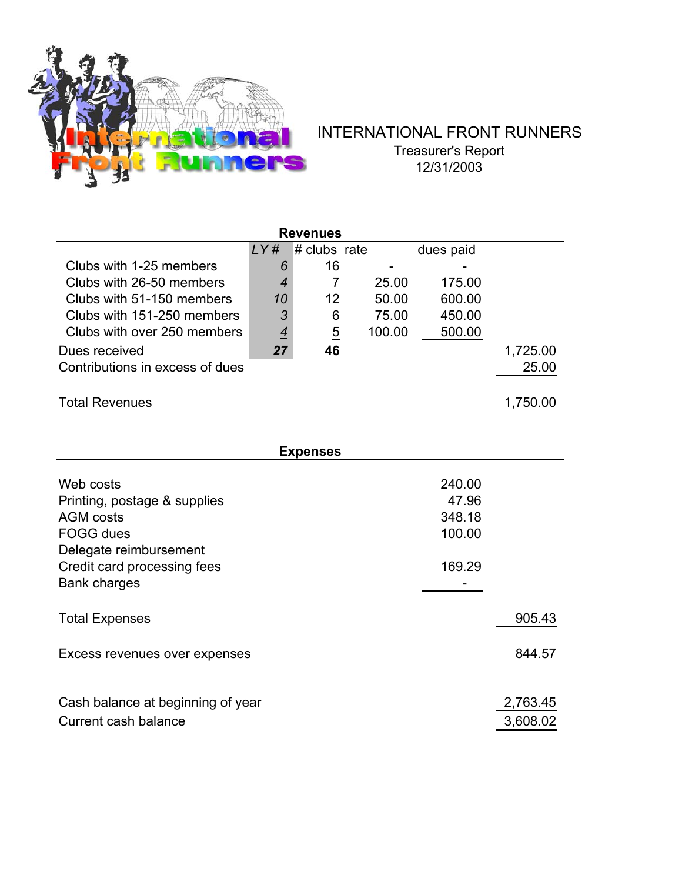

## INTERNATIONAL FRONT RUNNERS Treasurer's Report 12/31/2003

| <b>Revenues</b>                   |                |                |        |           |          |  |  |  |
|-----------------------------------|----------------|----------------|--------|-----------|----------|--|--|--|
|                                   | LYH            | # clubs rate   |        | dues paid |          |  |  |  |
| Clubs with 1-25 members           | 6              | 16             |        |           |          |  |  |  |
| Clubs with 26-50 members          | $\overline{4}$ | $\overline{7}$ | 25.00  | 175.00    |          |  |  |  |
| Clubs with 51-150 members         | 10             | 12             | 50.00  | 600.00    |          |  |  |  |
| Clubs with 151-250 members        | 3              | 6              | 75.00  | 450.00    |          |  |  |  |
| Clubs with over 250 members       | $\overline{4}$ | $\overline{5}$ | 100.00 | 500.00    |          |  |  |  |
| Dues received                     | 27             | 46             |        |           | 1,725.00 |  |  |  |
| Contributions in excess of dues   |                |                |        |           | 25.00    |  |  |  |
|                                   |                |                |        |           |          |  |  |  |
| <b>Total Revenues</b>             |                |                |        |           | 1,750.00 |  |  |  |
|                                   |                |                |        |           |          |  |  |  |
|                                   |                |                |        |           |          |  |  |  |
| <b>Expenses</b>                   |                |                |        |           |          |  |  |  |
|                                   |                |                |        |           |          |  |  |  |
| Web costs                         |                |                |        | 240.00    |          |  |  |  |
| Printing, postage & supplies      |                |                |        | 47.96     |          |  |  |  |
| <b>AGM</b> costs                  |                |                |        | 348.18    |          |  |  |  |
| FOGG dues                         |                |                |        | 100.00    |          |  |  |  |
| Delegate reimbursement            |                |                |        |           |          |  |  |  |
| Credit card processing fees       |                |                |        | 169.29    |          |  |  |  |
| <b>Bank charges</b>               |                |                |        |           |          |  |  |  |
|                                   |                |                |        |           |          |  |  |  |
| <b>Total Expenses</b>             |                |                |        |           | 905.43   |  |  |  |
|                                   |                |                |        |           | 844.57   |  |  |  |
| Excess revenues over expenses     |                |                |        |           |          |  |  |  |
|                                   |                |                |        |           |          |  |  |  |
| Cash balance at beginning of year |                |                |        |           | 2,763.45 |  |  |  |
| Current cash balance              |                |                |        |           | 3,608.02 |  |  |  |
|                                   |                |                |        |           |          |  |  |  |